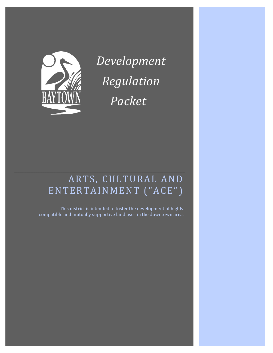

*Development Regulation Packet*

# ARTS, CULTURAL AND ENTERTAINMENT ("ACE")

This district is intended to foster the development of highly compatible and mutually supportive land uses in the downtown area.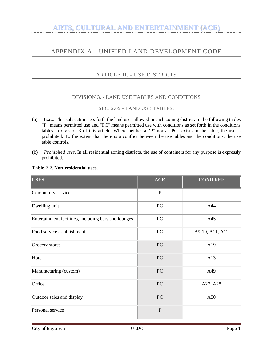#### <span id="page-2-1"></span><span id="page-2-0"></span>APPENDIX A - UNIFIED LAND DEVELOPMENT CODE

#### ARTICLE II. - USE DISTRICTS

#### DIVISION 3. - LAND USE TABLES AND CONDITIONS

#### SEC. 2.09 - LAND USE TABLES.

- <span id="page-2-3"></span><span id="page-2-2"></span>(a) *Uses.* This subsection sets forth the land uses allowed in each zoning district. In the following tables "P" means permitted use and "PC" means permitted use with conditions as set forth in the conditions tables in division 3 of this article. Where neither a "P" nor a "PC" exists in the table, the use is prohibited. To the extent that there is a conflict between the use tables and the conditions, the use table controls.
- (b) *Prohibited uses.* In all residential zoning districts, the use of containers for any purpose is expressly prohibited.

| <b>USES</b>                                          | <b>ACE</b>   | <b>COND REF</b> |
|------------------------------------------------------|--------------|-----------------|
| Community services                                   | $\mathbf{P}$ |                 |
| Dwelling unit                                        | $\rm{PC}$    | A44             |
| Entertainment facilities, including bars and lounges | PC           | A45             |
| Food service establishment                           | PC           | A9-10, A11, A12 |
| Grocery stores                                       | PC           | A19             |
| Hotel                                                | PC           | A13             |
| Manufacturing (custom)                               | PC           | A49             |
| Office                                               | PC           | A27, A28        |
| Outdoor sales and display                            | PC           | A50             |
| Personal service                                     | $\mathbf{P}$ |                 |

#### **Table 2-2. Non-residential uses.**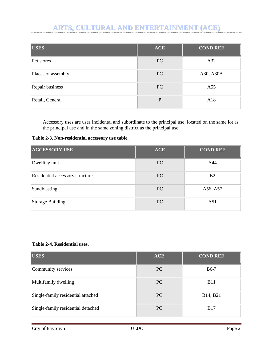| <b>USES</b>        | <b>ACE</b> | <b>COND REF</b> |
|--------------------|------------|-----------------|
| Pet stores         | PC         | A32             |
| Places of assembly | PC         | A30, A30A       |
| Repair business    | PC         | A55             |
| Retail, General    | P          | A18             |

Accessory uses are uses incidental and subordinate to the principal use, located on the same lot as the principal use and in the same zoning district as the principal use.

**Table 2-3. Non-residential accessory use table.**

| <b>ACCESSORY USE</b>             | <b>ACE</b> | <b>COND REF</b> |
|----------------------------------|------------|-----------------|
| Dwelling unit                    | <b>PC</b>  | A44             |
| Residential accessory structures | <b>PC</b>  | <b>B2</b>       |
| Sandblasting                     | <b>PC</b>  | A56, A57        |
| <b>Storage Building</b>          | PC         | A51             |

#### **Table 2-4. Residential uses.**

| <b>USES</b>                        | <b>ACE</b> | <b>COND REF</b> |
|------------------------------------|------------|-----------------|
| Community services                 | <b>PC</b>  | $B6-7$          |
| Multifamily dwelling               | PC         | <b>B11</b>      |
| Single-family residential attached | <b>PC</b>  | B14, B21        |
| Single-family residential detached | <b>PC</b>  | <b>B17</b>      |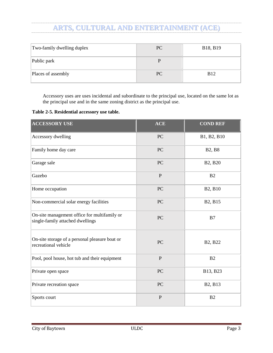| Two-family dwelling duplex | PC | B18, B19    |
|----------------------------|----|-------------|
| Public park                |    |             |
| Places of assembly         | PC | <b>B</b> 12 |

Accessory uses are uses incidental and subordinate to the principal use, located on the same lot as the principal use and in the same zoning district as the principal use.

|  |  | Table 2-5. Residential accessory use table. |  |
|--|--|---------------------------------------------|--|
|  |  |                                             |  |

| <b>ACCESSORY USE</b>                                                             | <b>ACE</b> | <b>COND REF</b>                  |
|----------------------------------------------------------------------------------|------------|----------------------------------|
| Accessory dwelling                                                               | PC         | B1, B2, B10                      |
| Family home day care                                                             | PC         | <b>B2, B8</b>                    |
| Garage sale                                                                      | PC         | B2, B20                          |
| Gazebo                                                                           | ${\bf P}$  | B2                               |
| Home occupation                                                                  | PC         | B2, B10                          |
| Non-commercial solar energy facilities                                           | PC         | B2, B15                          |
| On-site management office for multifamily or<br>single-family attached dwellings | PC         | B7                               |
| On-site storage of a personal pleasure boat or<br>recreational vehicle           | PC         | B <sub>2</sub> , B <sub>22</sub> |
| Pool, pool house, hot tub and their equipment                                    | ${\bf P}$  | B2                               |
| Private open space                                                               | PC         | B13, B23                         |
| Private recreation space                                                         | PC         | B <sub>2</sub> , B <sub>13</sub> |
| Sports court                                                                     | ${\bf P}$  | B <sub>2</sub>                   |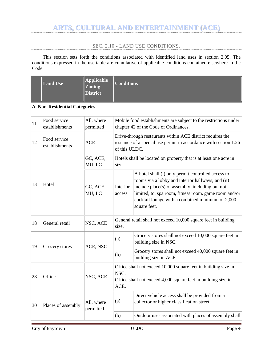#### SEC. 2.10 - LAND USE CONDITIONS.

<span id="page-5-0"></span>This section sets forth the conditions associated with identified land uses in section 2.05. The conditions expressed in the use table are cumulative of applicable conditions contained elsewhere in the Code.

|    | <b>Land Use</b>                      | <b>Applicable</b><br><b>Zoning</b><br><b>District</b> | <b>Conditions</b>                                                                                                                               |                                                                                                                                                                                                                                                                                         |  |  |  |
|----|--------------------------------------|-------------------------------------------------------|-------------------------------------------------------------------------------------------------------------------------------------------------|-----------------------------------------------------------------------------------------------------------------------------------------------------------------------------------------------------------------------------------------------------------------------------------------|--|--|--|
|    | <b>A. Non-Residential Categories</b> |                                                       |                                                                                                                                                 |                                                                                                                                                                                                                                                                                         |  |  |  |
| 11 | Food service<br>establishments       | All, where<br>permitted                               | Mobile food establishments are subject to the restrictions under<br>chapter 42 of the Code of Ordinances.                                       |                                                                                                                                                                                                                                                                                         |  |  |  |
| 12 | Food service<br>establishments       | <b>ACE</b>                                            | Drive-through restaurants within ACE district requires the<br>issuance of a special use permit in accordance with section 1.26<br>of this ULDC. |                                                                                                                                                                                                                                                                                         |  |  |  |
|    |                                      | GC, ACE,<br>MU, LC                                    | size.                                                                                                                                           | Hotels shall be located on property that is at least one acre in                                                                                                                                                                                                                        |  |  |  |
| 13 | Hotel                                | GC, ACE,<br>MU, LC                                    | Interior<br>access                                                                                                                              | A hotel shall (i) only permit controlled access to<br>rooms via a lobby and interior hallways; and (ii)<br>include place(s) of assembly, including but not<br>limited, to, spa room, fitness room, game room and/or<br>cocktail lounge with a combined minimum of 2,000<br>square feet. |  |  |  |
| 18 | General retail                       | NSC, ACE                                              | General retail shall not exceed 10,000 square feet in building<br>size.                                                                         |                                                                                                                                                                                                                                                                                         |  |  |  |
| 19 | Grocery stores                       | ACE, NSC                                              | (a)                                                                                                                                             | Grocery stores shall not exceed 10,000 square feet in<br>building size in NSC.                                                                                                                                                                                                          |  |  |  |
|    |                                      |                                                       | (b)                                                                                                                                             | Grocery stores shall not exceed 40,000 square feet in<br>building size in ACE.                                                                                                                                                                                                          |  |  |  |
| 28 | Office                               | NSC, ACE                                              | Office shall not exceed 10,000 square feet in building size in<br>NSC.<br>Office shall not exceed 4,000 square feet in building size in<br>ACE. |                                                                                                                                                                                                                                                                                         |  |  |  |
| 30 | Places of assembly                   | All, where<br>permitted                               | (a)                                                                                                                                             | Direct vehicle access shall be provided from a<br>collector or higher classification street.                                                                                                                                                                                            |  |  |  |
|    |                                      |                                                       | (b)                                                                                                                                             | Outdoor uses associated with places of assembly shall                                                                                                                                                                                                                                   |  |  |  |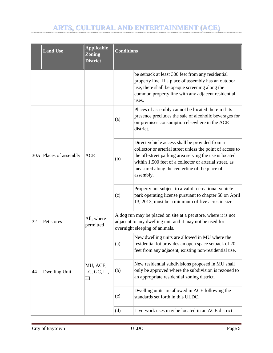|    | <b>Land Use</b>        | <b>Applicable</b><br><b>Zoning</b><br><b>District</b> | <b>Conditions</b>                                                                                                                                             |                                                                                                                                                                                                                                                                                                 |  |
|----|------------------------|-------------------------------------------------------|---------------------------------------------------------------------------------------------------------------------------------------------------------------|-------------------------------------------------------------------------------------------------------------------------------------------------------------------------------------------------------------------------------------------------------------------------------------------------|--|
|    |                        |                                                       |                                                                                                                                                               | be setback at least 300 feet from any residential<br>property line. If a place of assembly has an outdoor<br>use, there shall be opaque screening along the<br>common property line with any adjacent residential<br>uses.                                                                      |  |
|    |                        | ACE                                                   | (a)                                                                                                                                                           | Places of assembly cannot be located therein if its<br>presence precludes the sale of alcoholic beverages for<br>on-premises consumption elsewhere in the ACE<br>district.                                                                                                                      |  |
|    | 30A Places of assembly |                                                       | (b)                                                                                                                                                           | Direct vehicle access shall be provided from a<br>collector or arterial street unless the point of access to<br>the off-street parking area serving the use is located<br>within 1,500 feet of a collector or arterial street, as<br>measured along the centerline of the place of<br>assembly. |  |
|    |                        |                                                       | (c)                                                                                                                                                           | Property not subject to a valid recreational vehicle<br>park operating license pursuant to chapter 58 on April<br>13, 2013, must be a minimum of five acres in size.                                                                                                                            |  |
| 32 | Pet stores             | All, where<br>permitted                               | A dog run may be placed on site at a pet store, where it is not<br>adjacent to any dwelling unit and it may not be used for<br>overnight sleeping of animals. |                                                                                                                                                                                                                                                                                                 |  |
|    | Dwelling Unit          | MU, ACE,<br>LC, GC, LI,<br>H                          | (a)                                                                                                                                                           | New dwelling units are allowed in MU where the<br>residential lot provides an open space setback of 20<br>feet from any adjacent, existing non-residential use.                                                                                                                                 |  |
| 44 |                        |                                                       | (b)                                                                                                                                                           | New residential subdivisions proposed in MU shall<br>only be approved where the subdivision is rezoned to<br>an appropriate residential zoning district.                                                                                                                                        |  |
|    |                        |                                                       | (c)                                                                                                                                                           | Dwelling units are allowed in ACE following the<br>standards set forth in this ULDC.                                                                                                                                                                                                            |  |
|    |                        |                                                       | (d)                                                                                                                                                           | Live-work uses may be located in an ACE district:                                                                                                                                                                                                                                               |  |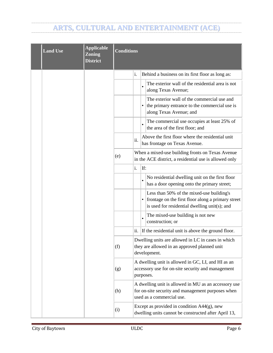| <b>Land Use</b> | <b>Applicable</b><br><b>Zoning</b><br><b>District</b> | <b>Conditions</b> |     |     |                                                                                                                                                  |
|-----------------|-------------------------------------------------------|-------------------|-----|-----|--------------------------------------------------------------------------------------------------------------------------------------------------|
|                 |                                                       |                   | i.  |     | Behind a business on its first floor as long as:                                                                                                 |
|                 |                                                       |                   |     |     | The exterior wall of the residential area is not<br>along Texas Avenue;                                                                          |
|                 |                                                       |                   |     |     | The exterior wall of the commercial use and<br>the primary entrance to the commercial use is<br>along Texas Avenue; and                          |
|                 |                                                       |                   |     |     | The commercial use occupies at least 25% of<br>the area of the first floor; and                                                                  |
|                 |                                                       |                   | ii. |     | Above the first floor where the residential unit<br>has frontage on Texas Avenue.                                                                |
|                 |                                                       | (e)               |     |     | When a mixed-use building fronts on Texas Avenue<br>in the ACE district, a residential use is allowed only                                       |
|                 |                                                       |                   | i.  | If: |                                                                                                                                                  |
|                 |                                                       |                   |     |     | No residential dwelling unit on the first floor<br>has a door opening onto the primary street;                                                   |
|                 |                                                       |                   |     |     | Less than 50% of the mixed-use building's<br>frontage on the first floor along a primary street<br>is used for residential dwelling unit(s); and |
|                 |                                                       |                   |     |     | The mixed-use building is not new<br>construction; or                                                                                            |
|                 |                                                       |                   | ii. |     | If the residential unit is above the ground floor.                                                                                               |
|                 |                                                       | (f)               |     |     | Dwelling units are allowed in LC in cases in which<br>they are allowed in an approved planned unit<br>development.                               |
|                 |                                                       | (g)               |     |     | A dwelling unit is allowed in GC, LI, and HI as an<br>accessory use for on-site security and management<br>purposes.                             |
|                 |                                                       | (h)               |     |     | A dwelling unit is allowed in MU as an accessory use<br>for on-site security and management purposes when<br>used as a commercial use.           |
|                 |                                                       | (i)               |     |     | Except as provided in condition $A44(g)$ , new<br>dwelling units cannot be constructed after April 13,                                           |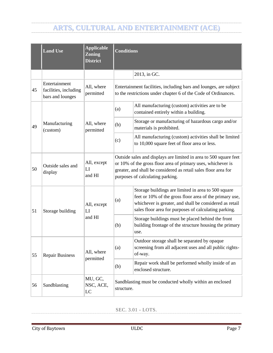|    | <b>Land Use</b>                                            | <b>Applicable</b><br><b>Zoning</b><br><b>District</b> | <b>Conditions</b>                                                                                                                                                                                                                        |                                                                                                                                                                                                                                    |  |  |  |
|----|------------------------------------------------------------|-------------------------------------------------------|------------------------------------------------------------------------------------------------------------------------------------------------------------------------------------------------------------------------------------------|------------------------------------------------------------------------------------------------------------------------------------------------------------------------------------------------------------------------------------|--|--|--|
|    |                                                            |                                                       |                                                                                                                                                                                                                                          | 2013, in GC.                                                                                                                                                                                                                       |  |  |  |
| 45 | Entertainment<br>facilities, including<br>bars and lounges | All, where<br>permitted                               |                                                                                                                                                                                                                                          | Entertainment facilities, including bars and lounges, are subject<br>to the restrictions under chapter 6 of the Code of Ordinances.                                                                                                |  |  |  |
|    |                                                            |                                                       | (a)                                                                                                                                                                                                                                      | All manufacturing (custom) activities are to be<br>contained entirely within a building.                                                                                                                                           |  |  |  |
| 49 | Manufacturing<br>(custom)                                  | All, where<br>permitted                               | (b)                                                                                                                                                                                                                                      | Storage or manufacturing of hazardous cargo and/or<br>materials is prohibited.                                                                                                                                                     |  |  |  |
|    |                                                            |                                                       | (c)                                                                                                                                                                                                                                      | All manufacturing (custom) activities shall be limited<br>to 10,000 square feet of floor area or less.                                                                                                                             |  |  |  |
| 50 | Outside sales and<br>display                               | All, except<br>LI<br>and HI                           | Outside sales and displays are limited in area to 500 square feet<br>or 10% of the gross floor area of primary uses, whichever is<br>greater, and shall be considered as retail sales floor area for<br>purposes of calculating parking. |                                                                                                                                                                                                                                    |  |  |  |
| 51 | Storage building                                           | All, except<br>LI<br>and HI                           | (a)                                                                                                                                                                                                                                      | Storage buildings are limited in area to 500 square<br>feet or 10% of the gross floor area of the primary use,<br>whichever is greater, and shall be considered as retail<br>sales floor area for purposes of calculating parking. |  |  |  |
|    |                                                            |                                                       | (b)                                                                                                                                                                                                                                      | Storage buildings must be placed behind the front<br>building frontage of the structure housing the primary<br>use.                                                                                                                |  |  |  |
| 55 | <b>Repair Business</b>                                     | All, where<br>permitted                               | (a)                                                                                                                                                                                                                                      | Outdoor storage shall be separated by opaque<br>screening from all adjacent uses and all public rights-<br>of-way.                                                                                                                 |  |  |  |
|    |                                                            |                                                       | (b)                                                                                                                                                                                                                                      | Repair work shall be performed wholly inside of an<br>enclosed structure.                                                                                                                                                          |  |  |  |
| 56 | Sandblasting                                               | MU, GC,<br>NSC, ACE,<br>LC                            | Sandblasting must be conducted wholly within an enclosed<br>structure.                                                                                                                                                                   |                                                                                                                                                                                                                                    |  |  |  |

<span id="page-8-0"></span>SEC. 3.01 - LOTS.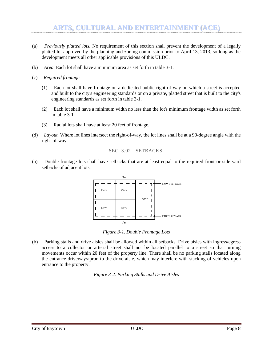- (a) *Previously platted lots.* No requirement of this section shall prevent the development of a legally platted lot approved by the planning and zoning commission prior to April 13, 2013, so long as the development meets all other applicable provisions of this ULDC.
- (b) *Area.* Each lot shall have a minimum area as set forth in table 3-1.
- (c) *Required frontage.*
	- (1) Each lot shall have frontage on a dedicated public right-of-way on which a street is accepted and built to the city's engineering standards or on a private, platted street that is built to the city's engineering standards as set forth in table 3-1.
	- (2) Each lot shall have a minimum width no less than the lot's minimum frontage width as set forth in table 3-1.
	- (3) Radial lots shall have at least 20 feet of frontage.
- (d) *Layout.* Where lot lines intersect the right-of-way, the lot lines shall be at a 90-degree angle with the right-of-way.

```
SEC. 3.02 - SETBACKS.
```
<span id="page-9-0"></span>(a) Double frontage lots shall have setbacks that are at least equal to the required front or side yard setbacks of adjacent lots.



*Figure 3-1. Double Frontage Lots*

(b) Parking stalls and drive aisles shall be allowed within all setbacks. Drive aisles with ingress/egress access to a collector or arterial street shall not be located parallel to a street so that turning movements occur within 20 feet of the property line. There shall be no parking stalls located along the entrance driveway/apron to the drive aisle, which may interfere with stacking of vehicles upon entrance to the property.

*Figure 3-2. Parking Stalls and Drive Aisles*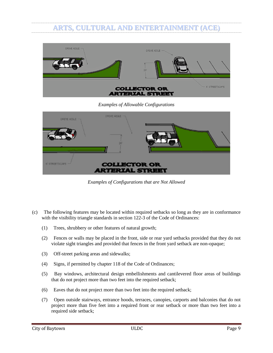

*Examples of Allowable Configurations*

| DRIVE AISLE -        | DRIVE AISLE                                   |  |
|----------------------|-----------------------------------------------|--|
| <b>6 STREETSCAPE</b> | <b>COLLECTOR OR</b><br><b>ARTERIAL STREET</b> |  |

*Examples of Configurations that are Not Allowed*

- (c) The following features may be located within required setbacks so long as they are in conformance with the visibility triangle standards in section 122-3 of the Code of Ordinances:
	- (1) Trees, shrubbery or other features of natural growth;
	- (2) Fences or walls may be placed in the front, side or rear yard setbacks provided that they do not violate sight triangles and provided that fences in the front yard setback are non-opaque;
	- (3) Off-street parking areas and sidewalks;
	- (4) Signs, if permitted by chapter 118 of the Code of Ordinances;
	- (5) Bay windows, architectural design embellishments and cantilevered floor areas of buildings that do not project more than two feet into the required setback;
	- (6) Eaves that do not project more than two feet into the required setback;
	- (7) Open outside stairways, entrance hoods, terraces, canopies, carports and balconies that do not project more than five feet into a required front or rear setback or more than two feet into a required side setback;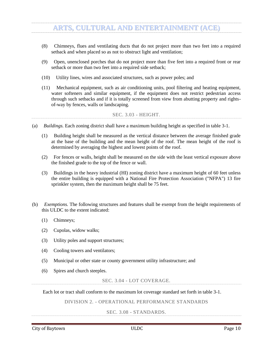- (8) Chimneys, flues and ventilating ducts that do not project more than two feet into a required setback and when placed so as not to obstruct light and ventilation;
- (9) Open, unenclosed porches that do not project more than five feet into a required front or rear setback or more than two feet into a required side setback;
- (10) Utility lines, wires and associated structures, such as power poles; and
- (11) Mechanical equipment, such as air conditioning units, pool filtering and heating equipment, water softeners and similar equipment, if the equipment does not restrict pedestrian access through such setbacks and if it is totally screened from view from abutting property and rightsof-way by fences, walls or landscaping.

SEC. 3.03 - HEIGHT.

- <span id="page-11-0"></span>(a) *Buildings.* Each zoning district shall have a maximum building height as specified in table 3-1.
	- (1) Building height shall be measured as the vertical distance between the average finished grade at the base of the building and the mean height of the roof. The mean height of the roof is determined by averaging the highest and lowest points of the roof.
	- (2) For fences or walls, height shall be measured on the side with the least vertical exposure above the finished grade to the top of the fence or wall.
	- (3) Buildings in the heavy industrial (HI) zoning district have a maximum height of 60 feet unless the entire building is equipped with a National Fire Protection Association ("NFPA") 13 fire sprinkler system, then the maximum height shall be 75 feet.
- (b) *Exemptions.* The following structures and features shall be exempt from the height requirements of this ULDC to the extent indicated:
	- (1) Chimneys;
	- (2) Cupolas, widow walks;
	- (3) Utility poles and support structures;
	- (4) Cooling towers and ventilators;
	- (5) Municipal or other state or county government utility infrastructure; and
	- (6) Spires and church steeples.

SEC. 3.04 - LOT COVERAGE.

<span id="page-11-2"></span><span id="page-11-1"></span>Each lot or tract shall conform to the maximum lot coverage standard set forth in table 3-1.

DIVISION 2. - OPERATIONAL PERFORMANCE STANDARDS

SEC. 3.08 - STANDARDS.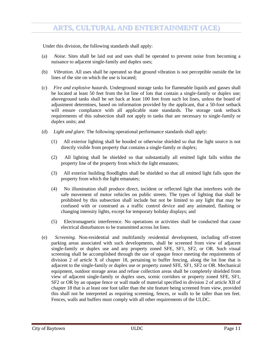Under this division, the following standards shall apply:

- (a) *Noise.* Sites shall be laid out and uses shall be operated to prevent noise from becoming a nuisance to adjacent single-family and duplex uses;
- (b) *Vibration.* All uses shall be operated so that ground vibration is not perceptible outside the lot lines of the site on which the use is located;
- (c) *Fire and explosive hazards.* Underground storage tanks for flammable liquids and gasses shall be located at least 50 feet from the lot line of lots that contain a single-family or duplex use; aboveground tanks shall be set back at least 100 feet from such lot lines, unless the board of adjustment determines, based on information provided by the applicant, that a 50-foot setback will ensure compliance with all applicable state standards. The storage tank setback requirements of this subsection shall not apply to tanks that are necessary to single-family or duplex units; and
- (d) *Light and glare.* The following operational performance standards shall apply:
	- (1) All exterior lighting shall be hooded or otherwise shielded so that the light source is not directly visible from property that contains a single-family or duplex;
	- (2) All lighting shall be shielded so that substantially all emitted light falls within the property line of the property from which the light emanates;
	- (3) All exterior building floodlights shall be shielded so that all emitted light falls upon the property from which the light emanates;
	- (4) No illumination shall produce direct, incident or reflected light that interferes with the safe movement of motor vehicles on public streets. The types of lighting that shall be prohibited by this subsection shall include but not be limited to any light that may be confused with or construed as a traffic control device and any animated, flashing or changing intensity lights, except for temporary holiday displays; and
	- (5) Electromagnetic interference. No operations or activities shall be conducted that cause electrical disturbances to be transmitted across lot lines.
- (e) *Screening.* Non-residential and multifamily residential development, including off-street parking areas associated with such developments, shall be screened from view of adjacent single-family or duplex use and any property zoned SFE, SF1, SF2, or OR. Such visual screening shall be accomplished through the use of opaque fence meeting the requirements of division 2 of article X of chapter 18, pertaining to buffer fencing, along the lot line that is adjacent to the single-family or duplex use or property zoned SFE, SF1, SF2 or OR. Mechanical equipment, outdoor storage areas and refuse collection areas shall be completely shielded from view of adjacent single-family or duplex uses, scenic corridors or property zoned SFE, SF1, SF2 or OR by an opaque fence or wall made of material specified in division 2 of article XII of chapter 18 that is at least one foot taller than the site feature being screened from view, provided this shall not be interpreted as requiring screening, fences, or walls to be taller than ten feet. Fences, walls and buffers must comply with all other requirements of the ULDC.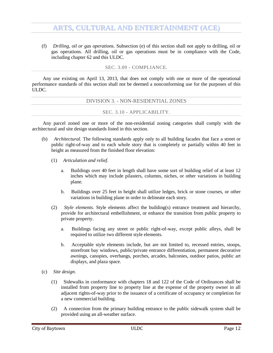(f) *Drilling, oil or gas operations.* Subsection (e) of this section shall not apply to drilling, oil or gas operations. All drilling, oil or gas operations must be in compliance with the Code, including chapter 62 and this ULDC.

SEC. 3.09 - COMPLIANCE.

<span id="page-13-0"></span>Any use existing on April 13, 2013, that does not comply with one or more of the operational performance standards of this section shall not be deemed a nonconforming use for the purposes of this ULDC.

<span id="page-13-1"></span>

| DIVISION 3. - NON-RESIDENTIAL ZONES |  |
|-------------------------------------|--|
|                                     |  |
|                                     |  |
|                                     |  |
|                                     |  |
| SEC. 3.10 - APPLICABILITY.          |  |
|                                     |  |

<span id="page-13-2"></span>Any parcel zoned one or more of the non-residential zoning categories shall comply with the architectural and site design standards listed in this section.

- (b) *Architectural.* The following standards apply only to all building facades that face a street or public right-of-way and to each whole story that is completely or partially within 40 feet in height as measured from the finished floor elevation:
	- (1) *Articulation and relief.*
		- a. Buildings over 40 feet in length shall have some sort of building relief of at least 12 inches which may include pilasters, columns, niches, or other variations in building plane.
		- b. Buildings over 25 feet in height shall utilize ledges, brick or stone courses, or other variations in building plane in order to delineate each story.
	- (2) *Style elements.* Style elements affect the building(s) entrance treatment and hierarchy, provide for architectural embellishment, or enhance the transition from public property to private property.
		- a. Buildings facing any street or public right-of-way, except public alleys, shall be required to utilize two different style elements.
		- b. Acceptable style elements include, but are not limited to, recessed entries, stoops, storefront bay windows, public/private entrance differentiation, permanent decorative awnings, canopies, overhangs, porches, arcades, balconies, outdoor patios, public art displays, and plaza space.
- (c) *Site design.*
	- (1) Sidewalks in conformance with chapters 18 and 122 of the Code of Ordinances shall be installed from property line to property line at the expense of the property owner in all adjacent rights-of-way prior to the issuance of a certificate of occupancy or completion for a new commercial building.
	- (2) A connection from the primary building entrance to the public sidewalk system shall be provided using an all-weather surface.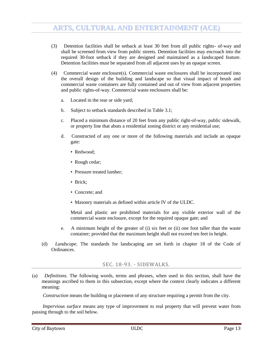- (3) Detention facilities shall be setback at least 30 feet from all public rights- of-way and shall be screened from view from public streets. Detention facilities may encroach into the required 30-foot setback if they are designed and maintained as a landscaped feature. Detention facilities must be separated from all adjacent uses by an opaque screen.
- (4) Commercial waste enclosure(s). Commercial waste enclosures shall be incorporated into the overall design of the building and landscape so that visual impact of brush and commercial waste containers are fully contained and out of view from adjacent properties and public rights-of-way. Commercial waste enclosures shall be:
	- a. Located in the rear or side yard;
	- b. Subject to setback standards described in Table 3.1;
	- c. Placed a minimum distance of 20 feet from any public right-of-way, public sidewalk, or property line that abuts a residential zoning district or any residential use;
	- d. Constructed of any one or more of the following materials and include an opaque gate:
		- Redwood:
		- Rough cedar;
		- Pressure treated lumber;
		- Brick;
		- Concrete; and
		- Masonry materials as defined within article IV of the ULDC.

Metal and plastic are prohibited materials for any visible exterior wall of the commercial waste enclosure, except for the required opaque gate; and

- e. A minimum height of the greater of (i) six feet or (ii) one foot taller than the waste container; provided that the maximum height shall not exceed ten feet in height.
- (d) *Landscape.* The standards for landscaping are set forth in chapter 18 of the Code of Ordinances.

#### SEC. 18-93. - SIDEWALKS.

<span id="page-14-0"></span>(a) *Definitions.* The following words, terms and phrases, when used in this section, shall have the meanings ascribed to them in this subsection, except where the context clearly indicates a different meaning:

*Construction* means the building or placement of any structure requiring a permit from the city.

*Impervious surface* means any type of improvement to real property that will prevent water from passing through to the soil below.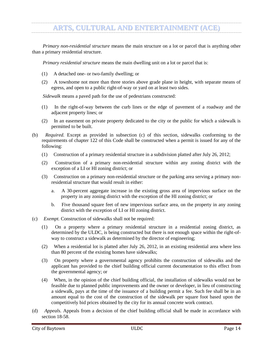*Primary non-residential structure* means the main structure on a lot or parcel that is anything other than a primary residential structure.

*Primary residential structure* means the main dwelling unit on a lot or parcel that is:

- (1) A detached one- or two-family dwelling; or
- (2) A townhome not more than three stories above grade plane in height, with separate means of egress, and open to a public right-of-way or yard on at least two sides.

*Sidewalk* means a paved path for the use of pedestrians constructed:

- (1) In the right-of-way between the curb lines or the edge of pavement of a roadway and the adjacent property lines; or
- (2) In an easement on private property dedicated to the city or the public for which a sidewalk is permitted to be built.
- (b) *Required.* Except as provided in subsection (c) of this section, sidewalks conforming to the requirements of chapter 122 of this Code shall be constructed when a permit is issued for any of the following:
	- (1) Construction of a primary residential structure in a subdivision platted after July 26, 2012;
	- (2) Construction of a primary non-residential structure within any zoning district with the exception of a LI or HI zoning district; or
	- (3) Construction on a primary non-residential structure or the parking area serving a primary nonresidential structure that would result in either:
		- a. A 30-percent aggregate increase in the existing gross area of impervious surface on the property in any zoning district with the exception of the HI zoning district; or
		- b. Five thousand square feet of new impervious surface area, on the property in any zoning district with the exception of LI or HI zoning district.
- (c) *Exempt.* Construction of sidewalks shall not be required:
	- (1) On a property where a primary residential structure in a residential zoning district, as determined by the ULDC, is being constructed but there is not enough space within the right-ofway to construct a sidewalk as determined by the director of engineering;
	- (2) When a residential lot is platted after July 26, 2012, in an existing residential area where less than 80 percent of the existing homes have sidewalks;
	- (3) On property where a governmental agency prohibits the construction of sidewalks and the applicant has provided to the chief building official current documentation to this effect from the governmental agency; or
	- (4) When, in the opinion of the chief building official, the installation of sidewalks would not be feasible due to planned public improvements and the owner or developer, in lieu of constructing a sidewalk, pays at the time of the issuance of a building permit a fee. Such fee shall be in an amount equal to the cost of the construction of the sidewalk per square foot based upon the competitively bid prices obtained by the city for its annual concrete work contract.
- (d) *Appeals.* Appeals from a decision of the chief building official shall be made in accordance with section 18-58.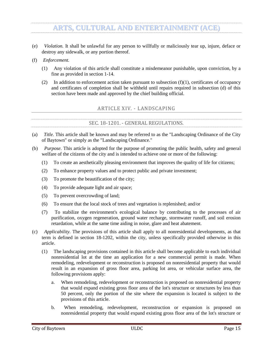- (e) *Violation.* It shall be unlawful for any person to willfully or maliciously tear up, injure, deface or destroy any sidewalk, or any portion thereof.
- (f) *Enforcement.*
	- (1) Any violation of this article shall constitute a misdemeanor punishable, upon conviction, by a fine as provided in section 1-14.
	- (2) In addition to enforcement action taken pursuant to subsection  $(f)(1)$ , certificates of occupancy and certificates of completion shall be withheld until repairs required in subsection (d) of this section have been made and approved by the chief building official.

#### ARTICLE XIV. - LANDSCAPING

#### SEC. 18-1201. - GENERAL REGULATIONS.

- <span id="page-16-1"></span><span id="page-16-0"></span>(a) *Title.* This article shall be known and may be referred to as the "Landscaping Ordinance of the City of Baytown" or simply as the "Landscaping Ordinance."
- (b) *Purpose.* This article is adopted for the purpose of promoting the public health, safety and general welfare of the citizens of the city and is intended to achieve one or more of the following:
	- (1) To create an aesthetically pleasing environment that improves the quality of life for citizens;
	- (2) To enhance property values and to protect public and private investment;
	- (3) To promote the beautification of the city;
	- (4) To provide adequate light and air space;
	- (5) To prevent overcrowding of land;
	- (6) To ensure that the local stock of trees and vegetation is replenished; and/or
	- (7) To stabilize the environment's ecological balance by contributing to the processes of air purification, oxygen regeneration, ground water recharge, stormwater runoff, and soil erosion retardation, while at the same time aiding in noise, glare and heat abatement.
- (c) *Applicability.* The provisions of this article shall apply to all nonresidential developments, as that term is defined in section 18-1202, within the city, unless specifically provided otherwise in this article.
	- (1) The landscaping provisions contained in this article shall become applicable to each individual nonresidential lot at the time an application for a new commercial permit is made. When remodeling, redevelopment or reconstruction is proposed on nonresidential property that would result in an expansion of gross floor area, parking lot area, or vehicular surface area, the following provisions apply:
		- a. When remodeling, redevelopment or reconstruction is proposed on nonresidential property that would expand existing gross floor area of the lot's structure or structures by less than 50 percent, only the portion of the site where the expansion is located is subject to the provisions of this article.
		- b. When remodeling, redevelopment, reconstruction or expansion is proposed on nonresidential property that would expand existing gross floor area of the lot's structure or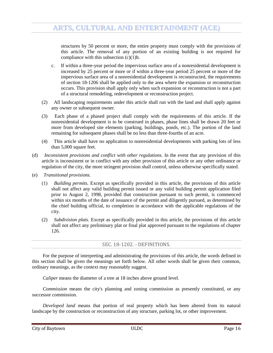structures by 50 percent or more, the entire property must comply with the provisions of this article. The removal of any portion of an existing building is not required for compliance with this subsection (c)(1)b.

- c. If within a three-year period the impervious surface area of a nonresidential development is increased by 25 percent or more or if within a three-year period 25 percent or more of the impervious surface area of a nonresidential development is reconstructed, the requirements of section 18-1206 shall be applied only to the area where the expansion or reconstruction occurs. This provision shall apply only when such expansion or reconstruction is not a part of a structural remodeling, redevelopment or reconstruction project.
- (2) All landscaping requirements under this article shall run with the land and shall apply against any owner or subsequent owner.
- (3) Each phase of a phased project shall comply with the requirements of this article. If the nonresidential development is to be construed in phases, phase lines shall be drawn 20 feet or more from developed site elements (parking, buildings, ponds, etc.). The portion of the land remaining for subsequent phases shall be no less than three-fourths of an acre.
- (4) This article shall have no application to nonresidential developments with parking lots of less than 5,000 square feet.
- (d) *Inconsistent provisions and conflict with other regulations.* In the event that any provision of this article is inconsistent or in conflict with any other provision of this article or any other ordinance or regulation of the city, the more stringent provision shall control, unless otherwise specifically stated.
- (e) *Transitional provisions.*
	- (1) *Building permits.* Except as specifically provided in this article, the provisions of this article shall not affect any valid building permit issued or any valid building permit application filed prior to August 2, 1998, provided that construction pursuant to such permit, is commenced within six months of the date of issuance of the permit and diligently pursued, as determined by the chief building official, to completion in accordance with the applicable regulations of the city.
	- (2) *Subdivision plats.* Except as specifically provided in this article, the provisions of this article shall not affect any preliminary plat or final plat approved pursuant to the regulations of chapter 126.

| SEC. 18-1202. - DEFINITIONS. |
|------------------------------|
|------------------------------|

<span id="page-17-0"></span>For the purpose of interpreting and administrating the provisions of this article, the words defined in this section shall be given the meanings set forth below. All other words shall be given their common, ordinary meanings, as the context may reasonably suggest.

*Caliper* means the diameter of a tree at 18 inches above ground level.

*Commission* means the city's planning and zoning commission as presently constituted, or any successor commission.

*Developed land* means that portion of real property which has been altered from its natural landscape by the construction or reconstruction of any structure, parking lot, or other improvement.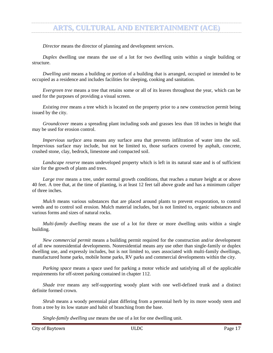*Director* means the director of planning and development services.

*Duplex* dwelling use means the use of a lot for two dwelling units within a single building or structure.

*Dwelling unit* means a building or portion of a building that is arranged, occupied or intended to be occupied as a residence and includes facilities for sleeping, cooking and sanitation.

*Evergreen tree* means a tree that retains some or all of its leaves throughout the year, which can be used for the purposes of providing a visual screen.

*Existing tree* means a tree which is located on the property prior to a new construction permit being issued by the city.

*Groundcover* means a spreading plant including sods and grasses less than 18 inches in height that may be used for erosion control.

*Impervious surface* area means any surface area that prevents infiltration of water into the soil. Impervious surface may include, but not be limited to, those surfaces covered by asphalt, concrete, crushed stone, clay, bedrock, limestone and compacted soil.

*Landscape reserve* means undeveloped property which is left in its natural state and is of sufficient size for the growth of plants and trees.

*Large tree* means a tree, under normal growth conditions, that reaches a mature height at or above 40 feet. A tree that, at the time of planting, is at least 12 feet tall above grade and has a minimum caliper of three inches.

*Mulch* means various substances that are placed around plants to prevent evaporation, to control weeds and to control soil erosion. Mulch material includes, but is not limited to, organic substances and various forms and sizes of natural rocks.

*Multi-family dwelling* means the use of a lot for three or more dwelling units within a single building.

*New commercial permit* means a building permit required for the construction and/or development of all new nonresidential developments. Nonresidential means any use other than single-family or duplex dwelling use, and expressly includes, but is not limited to, uses associated with multi-family dwellings, manufactured home parks, mobile home parks, RV parks and commercial developments within the city.

*Parking space* means a space used for parking a motor vehicle and satisfying all of the applicable requirements for off-street parking contained in chapter 112.

*Shade tree* means any self-supporting woody plant with one well-defined trunk and a distinct definite formed crown.

*Shrub* means a woody perennial plant differing from a perennial herb by its more woody stem and from a tree by its low stature and habit of branching from the base.

*Single-family dwelling use* means the use of a lot for one dwelling unit.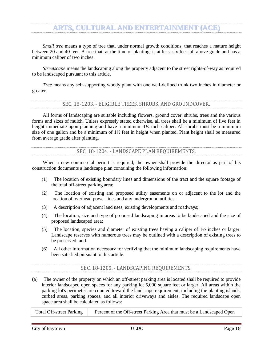*Small tree* means a type of tree that, under normal growth conditions, that reaches a mature height between 20 and 40 feet. A tree that, at the time of planting, is at least six feet tall above grade and has a minimum caliper of two inches.

*Streetscape* means the landscaping along the property adjacent to the street rights-of-way as required to be landscaped pursuant to this article.

*Tree* means any self-supporting woody plant with one well-defined trunk two inches in diameter or greater.

SEC. 18-1203. - ELIGIBLE TREES, SHRUBS, AND GROUNDCOVER.

<span id="page-19-0"></span>All forms of landscaping are suitable including flowers, ground cover, shrubs, trees and the various forms and sizes of mulch. Unless expressly stated otherwise, all trees shall be a minimum of five feet in height immediate upon planning and have a minimum 1½-inch caliper. All shrubs must be a minimum size of one gallon and be a minimum of 1½ feet in height when planted. Plant height shall be measured from average grade after planting.

SEC. 18-1204. - LANDSCAPE PLAN REQUIREMENTS.

<span id="page-19-1"></span>When a new commercial permit is required, the owner shall provide the director as part of his construction documents a landscape plan containing the following information:

- (1) The location of existing boundary lines and dimensions of the tract and the square footage of the total off-street parking area;
- (2) The location of existing and proposed utility easements on or adjacent to the lot and the location of overhead power lines and any underground utilities;
- (3) A description of adjacent land uses, existing developments and roadways;
- (4) The location, size and type of proposed landscaping in areas to be landscaped and the size of proposed landscaped area;
- (5) The location, species and diameter of existing trees having a caliper of 1½ inches or larger. Landscape reserves with numerous trees may be outlined with a description of existing trees to be preserved; and
- (6) All other information necessary for verifying that the minimum landscaping requirements have been satisfied pursuant to this article.

#### SEC. 18-1205. - LANDSCAPING REQUIREMENTS.

<span id="page-19-2"></span>(a) The owner of the property on which an off-street parking area is located shall be required to provide interior landscaped open spaces for any parking lot 5,000 square feet or larger. All areas within the parking lot's perimeter are counted toward the landscape requirement, including the planting islands, curbed areas, parking spaces, and all interior driveways and aisles. The required landscape open space area shall be calculated as follows:

Total Off-street Parking Percent of the Off-street Parking Area that must be a Landscaped Open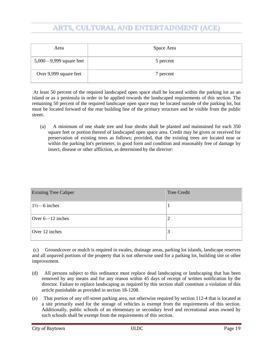| Area                       | Space Area |
|----------------------------|------------|
| 5,000 $-9,999$ square feet | 5 percent  |
| Over 9,999 square feet     | 7 percent  |

At least 50 percent of the required landscaped open space shall be located within the parking lot as an island or as a peninsula in order to be applied towards the landscaped requirements of this section. The remaining 50 percent of the required landscape open space may be located outside of the parking lot, but must be located forward of the rear building line of the primary structure and be visible from the public street.

(a) A minimum of one shade tree and four shrubs shall be planted and maintained for each 350 square feet or portion thereof of landscaped open space area. Credit may be given or received for preservation of existing trees as follows; provided, that the existing trees are located near or within the parking lot's perimeter, in good form and condition and reasonably free of damage by insect, disease or other affliction, as determined by the director:

| <b>Existing Tree Caliper</b> | <b>Tree Credit</b> |
|------------------------------|--------------------|
| $1\frac{1}{2}$ –6 inches     |                    |
| Over $6 - 12$ inches         | ↵                  |
| Over 12 inches               | 3                  |

(c) Groundcover or mulch is required in swales, drainage areas, parking lot islands, landscape reserves and all unpaved portions of the property that is not otherwise used for a parking lot, building site or other improvement.

- (d) All persons subject to this ordinance must replace dead landscaping or landscaping that has been removed by any means and for any reason within 45 days of receipt of written notification by the director. Failure to replace landscaping as required by this section shall constitute a violation of this article punishable as provided in section 18-1208.
- (e) That portion of any off-street parking area, not otherwise required by section 112-4 that is located at a site primarily used for the storage of vehicles is exempt from the requirements of this section. Additionally, public schools of an elementary or secondary level and recreational areas owned by such schools shall be exempt from the requirements of this section.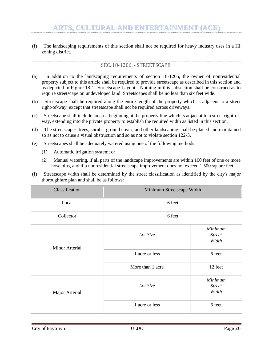<span id="page-21-0"></span>(f) The landscaping requirements of this section shall not be required for heavy industry uses in a HI zoning district.

- (a) In addition to the landscaping requirements of section 18-1205, the owner of nonresidential property subject to this article shall be required to provide streetscape as described in this section and as depicted in Figure 18-1 "Streetscape Layout." Nothing in this subsection shall be construed as to require streetscape on undeveloped land. Streetscapes shall be no less than six feet wide.
- (b) Streetscape shall be required along the entire length of the property which is adjacent to a street right-of-way, except that streetscape shall not be required across driveways.
- (c) Streetscape shall include an area beginning at the property line which is adjacent to a street right-ofway, extending into the private property to establish the required width as listed in this section.
- (d) The streetscape's trees, shrubs, ground cover, and other landscaping shall be placed and maintained so as not to cause a visual obstruction and so as not to violate section 122-3.
- (e) Streetscapes shall be adequately watered using one of the following methods:
	- (1) Automatic irrigation system; or
	- (2) Manual watering, if all parts of the landscape improvements are within 100 feet of one or more hose bibs, and if a nonresidential streetscape improvement does not exceed 1,500 square feet.
- (f) Streetscape width shall be determined by the street classification as identified by the city's major thoroughfare plan and shall be as follows:

| Classification        | Minimum Streetscape Width |                                   |  |  |
|-----------------------|---------------------------|-----------------------------------|--|--|
| Local                 | 6 feet                    |                                   |  |  |
| Collector             | 6 feet                    |                                   |  |  |
| <b>Minor Arterial</b> | Lot Size                  | Minimum<br><b>Street</b><br>Width |  |  |
|                       | 1 acre or less            | 6 feet                            |  |  |
|                       | More than 1 acre          | 12 feet                           |  |  |
| Major Arterial        | Lot Size                  | Minimum<br><b>Street</b><br>Width |  |  |
|                       | 1 acre or less            | 6 feet                            |  |  |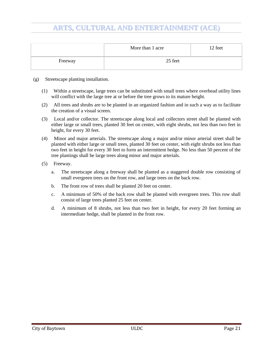|         | More than 1 acre | 12 feet |
|---------|------------------|---------|
| Freeway | 25 feet          |         |

- (g) Streetscape planting installation.
	- (1) Within a streetscape, large trees can be substituted with small trees where overhead utility lines will conflict with the large tree at or before the tree grows to its mature height.
	- (2) All trees and shrubs are to be planted in an organized fashion and in such a way as to facilitate the creation of a visual screen.
	- (3) Local and/or collector. The streetscape along local and collectors street shall be planted with either large or small trees, planted 30 feet on center, with eight shrubs, not less than two feet in height, for every 30 feet.
	- (4) Minor and major arterials. The streetscape along a major and/or minor arterial street shall be planted with either large or small trees, planted 30 feet on center, with eight shrubs not less than two feet in height for every 30 feet to form an intermittent hedge. No less than 50 percent of the tree plantings shall be large trees along minor and major arterials.
	- (5) Freeway.
		- a. The streetscape along a freeway shall be planted as a staggered double row consisting of small evergreen trees on the front row, and large trees on the back row.
		- b. The front row of trees shall be planted 20 feet on center.
		- c. A minimum of 50% of the back row shall be planted with evergreen trees. This row shall consist of large trees planted 25 feet on center.
		- d. A minimum of 8 shrubs, not less than two feet in height, for every 20 feet forming an intermediate hedge, shall be planted in the front row.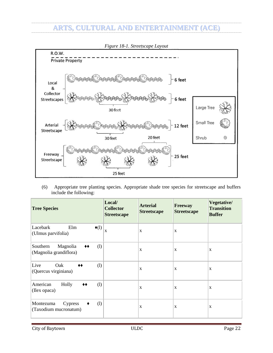

(6) Appropriate tree planting species. Appropriate shade tree species for streetscape and buffers include the following:

| <b>Tree Species</b>                                                                   | Local/<br><b>Collector</b><br><b>Streetscape</b> | <b>Arterial</b><br><b>Streetscape</b> | <b>Freeway</b><br><b>Streetscape</b> | Vegetative/<br><b>Transition</b><br><b>Buffer</b> |
|---------------------------------------------------------------------------------------|--------------------------------------------------|---------------------------------------|--------------------------------------|---------------------------------------------------|
| Lacebark<br>Elm<br>$\triangleleft(1)$<br>(Ulmus parvifolia)                           | $\overline{\mathbf{x}}$                          | X                                     | X                                    |                                                   |
| Magnolia<br>(1)<br>Southern<br>$\blacklozenge\blacklozenge$<br>(Magnolia grandiflora) |                                                  | X                                     | X                                    | X                                                 |
| Live<br>Oak<br>(1)<br>$\blacklozenge\blacklozenge$<br>(Quercus virginiana)            |                                                  | X                                     | X                                    | X                                                 |
| American<br>Holly<br>(1)<br>◆◆<br>(Ilex opaca)                                        |                                                  | X                                     | X                                    | X                                                 |
| (1)<br>Montezuma<br><b>Cypress</b><br>٠<br>(Taxodium mucronatum)                      |                                                  | X                                     | X                                    | X                                                 |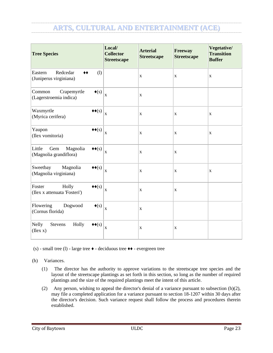| <b>Tree Species</b>                                                                                  | Local/<br><b>Collector</b><br><b>Streetscape</b> | <b>Arterial</b><br><b>Streetscape</b> | Freeway<br><b>Streetscape</b> | Vegetative/<br><b>Transition</b><br><b>Buffer</b> |
|------------------------------------------------------------------------------------------------------|--------------------------------------------------|---------------------------------------|-------------------------------|---------------------------------------------------|
| Redcedar<br>Eastern<br>(1)<br>$\clubsuit\spadesuit$<br>(Juniperus virginiana)                        |                                                  | $\mathbf X$                           | $\mathbf X$                   | $\mathbf X$                                       |
| Common<br>Crapemyrtle<br>$\blacklozenge(s)$<br>(Lagerstroemia indica)                                | $\mathbf X$                                      | $\mathbf X$                           |                               |                                                   |
| Waxmyrtle<br>$\blacklozenge\blacklozenge(\mathbf{s})$<br>(Myrica cerifera)                           | $\mathbf X$                                      | $\mathbf X$                           | $\mathbf X$                   | $\mathbf X$                                       |
| Yaupon<br>$\blacklozenge\blacklozenge(\mathbf{s})$<br>(Ilex vomitoria)                               | $\mathbf X$                                      | $\mathbf X$                           | $\mathbf X$                   | $\mathbf X$                                       |
| Little<br>Gem<br>Magnolia<br>$\blacklozenge\blacklozenge(\mathbf{s})$<br>(Magnolia grandiflora)      | $\mathbf X$                                      | $\mathbf X$                           | $\mathbf X$                   |                                                   |
| Sweetbay<br>Magnolia<br>$\blacklozenge\blacklozenge(\mathbf{s})$<br>(Magnolia virginiana)            | $\mathbf X$                                      | $\mathbf X$                           | $\mathbf X$                   | $\mathbf X$                                       |
| Foster<br>Holly<br>$\blacklozenge\blacklozenge(\mathbf{s})$<br>(Ilex x attenuata 'Fosteri')          | $\mathbf X$                                      | $\mathbf X$                           | $\mathbf X$                   |                                                   |
| Flowering<br>Dogwood<br>$\blacklozenge(s)$<br>(Cornus florida)                                       | $\bar{\mathbf{X}}$                               | $\mathbf X$                           |                               |                                                   |
| <b>Nelly</b><br>Holly<br><b>Stevens</b><br>$\blacklozenge\blacklozenge(\mathbf{s})$<br>$($ Ilex $x)$ | $\mathbf X$                                      | $\mathbf X$                           | X                             |                                                   |

(s) - small tree (l) - large tree ♦ - deciduous tree ♦♦ - evergreen tree

(h) Variances.

- (1) The director has the authority to approve variations to the streetscape tree species and the layout of the streetscape plantings as set forth in this section, so long as the number of required plantings and the size of the required plantings meet the intent of this article.
- (2) Any person, wishing to appeal the director's denial of a variance pursuant to subsection (h)(2), may file a completed application for a variance pursuant to section 18-1207 within 30 days after the director's decision. Such variance request shall follow the process and procedures therein established.